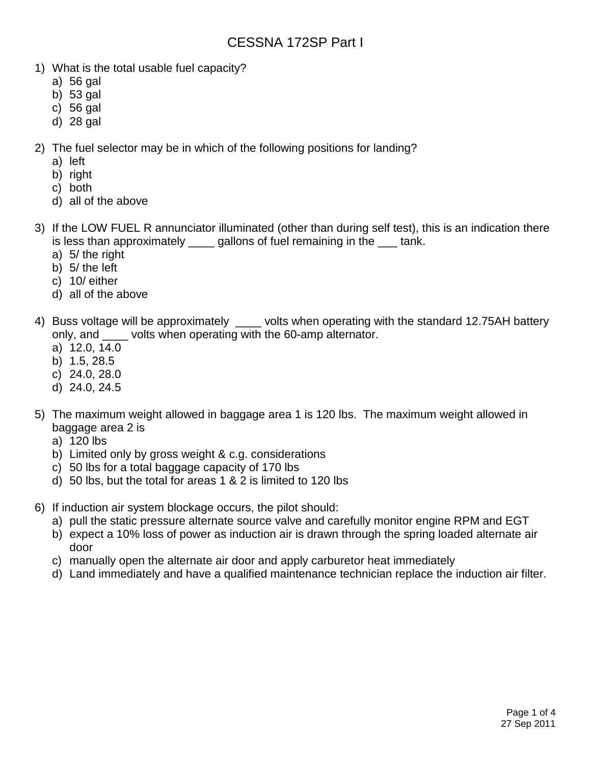# CESSNA 172SP Part I

- 1) What is the total usable fuel capacity?
	- a) 56 gal
	- b) 53 gal
	- c) 56 gal
	- d) 28 gal

2) The fuel selector may be in which of the following positions for landing?

- a) left
- b) right
- c) both
- d) all of the above
- 3) If the LOW FUEL R annunciator illuminated (other than during self test), this is an indication there is less than approximately \_\_\_\_ gallons of fuel remaining in the \_\_\_ tank.
	- a) 5/ the right
	- b) 5/ the left
	- c) 10/ either
	- d) all of the above
- 4) Buss voltage will be approximately \_\_\_\_\_ volts when operating with the standard 12.75AH battery only, and \_\_\_\_ volts when operating with the 60-amp alternator.
	- a) 12.0, 14.0
	- b) 1.5, 28.5
	- c) 24.0, 28.0
	- d) 24.0, 24.5
- 5) The maximum weight allowed in baggage area 1 is 120 lbs. The maximum weight allowed in baggage area 2 is
	- a) 120 lbs
	- b) Limited only by gross weight & c.g. considerations
	- c) 50 lbs for a total baggage capacity of 170 lbs
	- d) 50 lbs, but the total for areas 1 & 2 is limited to 120 lbs
- 6) If induction air system blockage occurs, the pilot should:
	- a) pull the static pressure alternate source valve and carefully monitor engine RPM and EGT
	- b) expect a 10% loss of power as induction air is drawn through the spring loaded alternate air door
	- c) manually open the alternate air door and apply carburetor heat immediately
	- d) Land immediately and have a qualified maintenance technician replace the induction air filter.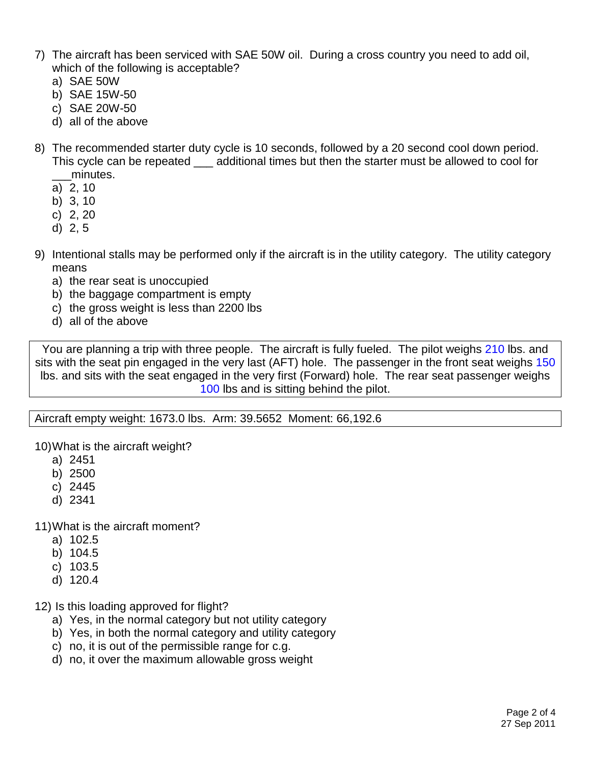- 7) The aircraft has been serviced with SAE 50W oil. During a cross country you need to add oil, which of the following is acceptable?
	- a) SAE 50W
	- b) SAE 15W-50
	- c) SAE 20W-50
	- d) all of the above
- 8) The recommended starter duty cycle is 10 seconds, followed by a 20 second cool down period. This cycle can be repeated \_\_\_ additional times but then the starter must be allowed to cool for minutes.
	- a) 2, 10
	- b) 3, 10
	- c) 2, 20
	- d) 2, 5
- 9) Intentional stalls may be performed only if the aircraft is in the utility category. The utility category means
	- a) the rear seat is unoccupied
	- b) the baggage compartment is empty
	- c) the gross weight is less than 2200 lbs
	- d) all of the above

You are planning a trip with three people. The aircraft is fully fueled. The pilot weighs 210 lbs. and sits with the seat pin engaged in the very last (AFT) hole. The passenger in the front seat weighs 150 lbs. and sits with the seat engaged in the very first (Forward) hole. The rear seat passenger weighs 100 lbs and is sitting behind the pilot.

Aircraft empty weight: 1673.0 lbs. Arm: 39.5652 Moment: 66,192.6

10)What is the aircraft weight?

- a) 2451
- b) 2500
- c) 2445
- d) 2341

11)What is the aircraft moment?

- a) 102.5
- b) 104.5
- c) 103.5
- d) 120.4

12) Is this loading approved for flight?

- a) Yes, in the normal category but not utility category
- b) Yes, in both the normal category and utility category
- c) no, it is out of the permissible range for c.g.
- d) no, it over the maximum allowable gross weight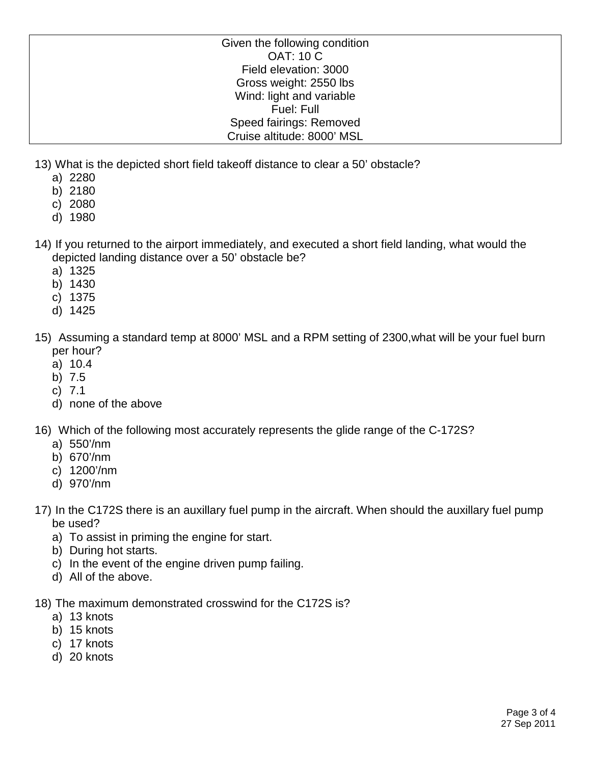Given the following condition OAT: 10 C Field elevation: 3000 Gross weight: 2550 lbs Wind: light and variable Fuel: Full Speed fairings: Removed Cruise altitude: 8000' MSL

13) What is the depicted short field takeoff distance to clear a 50' obstacle?

- a) 2280
- b) 2180
- c) 2080
- d) 1980
- 14) If you returned to the airport immediately, and executed a short field landing, what would the depicted landing distance over a 50' obstacle be?
	- a) 1325
	- b) 1430
	- c) 1375
	- d) 1425
- 15) Assuming a standard temp at 8000' MSL and a RPM setting of 2300,what will be your fuel burn per hour?
	- a) 10.4
	- b) 7.5
	- c) 7.1
	- d) none of the above
- 16) Which of the following most accurately represents the glide range of the C-172S?
	- a) 550'/nm
	- b) 670'/nm
	- c) 1200'/nm
	- d) 970'/nm
- 17) In the C172S there is an auxillary fuel pump in the aircraft. When should the auxillary fuel pump be used?
	- a) To assist in priming the engine for start.
	- b) During hot starts.
	- c) In the event of the engine driven pump failing.
	- d) All of the above.
- 18) The maximum demonstrated crosswind for the C172S is?
	- a) 13 knots
	- b) 15 knots
	- c) 17 knots
	- d) 20 knots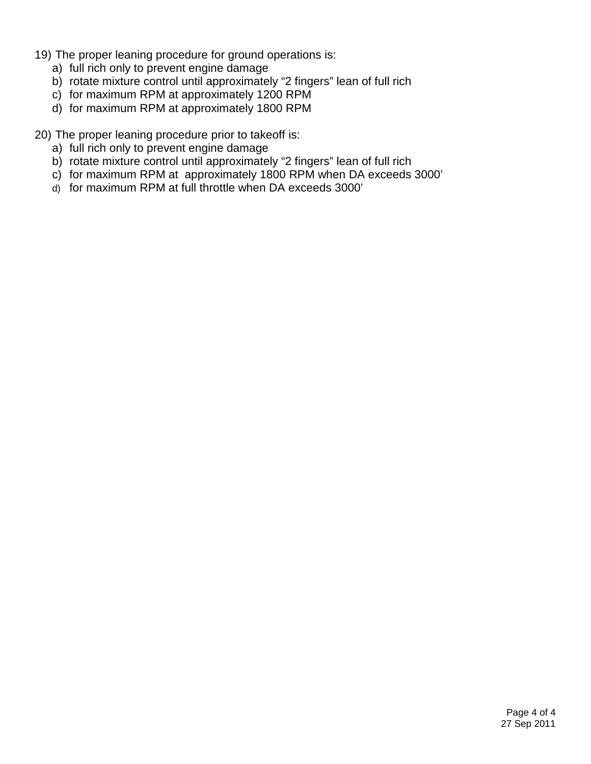- 19) The proper leaning procedure for ground operations is:
	- a) full rich only to prevent engine damage
	- b) rotate mixture control until approximately "2 fingers" lean of full rich
	- c) for maximum RPM at approximately 1200 RPM
	- d) for maximum RPM at approximately 1800 RPM

20) The proper leaning procedure prior to takeoff is:

- a) full rich only to prevent engine damage
- b) rotate mixture control until approximately "2 fingers" lean of full rich
- c) for maximum RPM at approximately 1800 RPM when DA exceeds 3000'
- d) for maximum RPM at full throttle when DA exceeds 3000'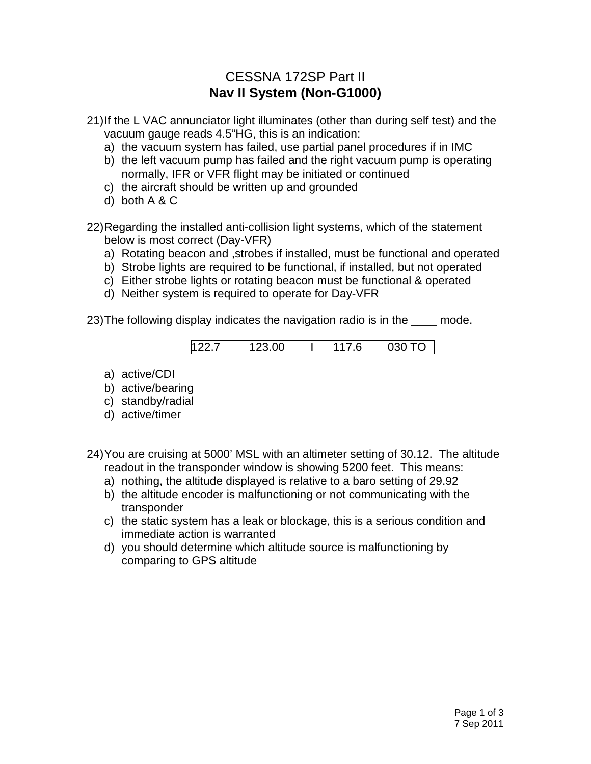# CESSNA 172SP Part II **Nav II System (Non-G1000)**

- 21)If the L VAC annunciator light illuminates (other than during self test) and the vacuum gauge reads 4.5"HG, this is an indication:
	- a) the vacuum system has failed, use partial panel procedures if in IMC
	- b) the left vacuum pump has failed and the right vacuum pump is operating normally, IFR or VFR flight may be initiated or continued
	- c) the aircraft should be written up and grounded
	- d) both A & C
- 22)Regarding the installed anti-collision light systems, which of the statement below is most correct (Day-VFR)
	- a) Rotating beacon and ,strobes if installed, must be functional and operated
	- b) Strobe lights are required to be functional, if installed, but not operated
	- c) Either strobe lights or rotating beacon must be functional & operated
	- d) Neither system is required to operate for Day-VFR

23) The following display indicates the navigation radio is in the mode.

122.7 123.00 I 117.6 030 TO

- a) active/CDI
- b) active/bearing
- c) standby/radial
- d) active/timer

24)You are cruising at 5000' MSL with an altimeter setting of 30.12. The altitude readout in the transponder window is showing 5200 feet. This means:

- a) nothing, the altitude displayed is relative to a baro setting of 29.92
- b) the altitude encoder is malfunctioning or not communicating with the transponder
- c) the static system has a leak or blockage, this is a serious condition and immediate action is warranted
- d) you should determine which altitude source is malfunctioning by comparing to GPS altitude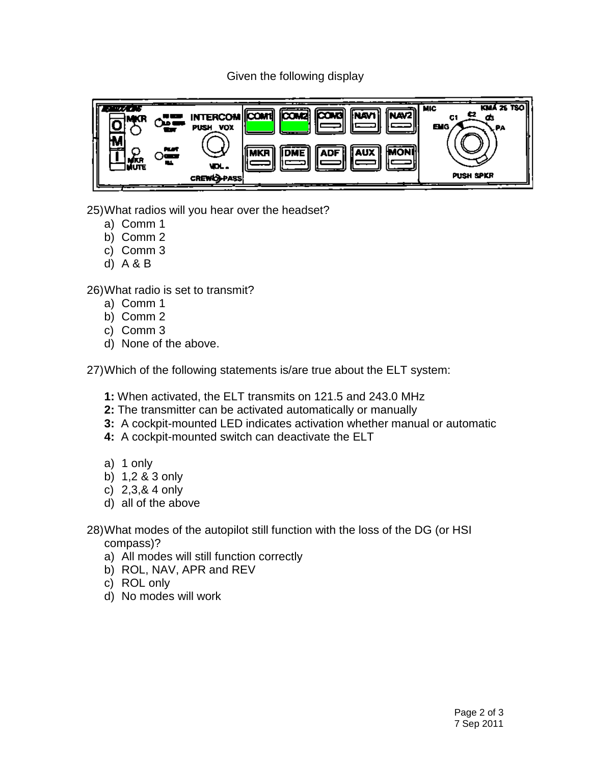### Given the following display



25)What radios will you hear over the headset?

- a) Comm 1
- b) Comm 2
- c) Comm 3
- d) A & B

26)What radio is set to transmit?

- a) Comm 1
- b) Comm 2
- c) Comm 3
- d) None of the above.

27)Which of the following statements is/are true about the ELT system:

- **1:** When activated, the ELT transmits on 121.5 and 243.0 MHz
- **2:** The transmitter can be activated automatically or manually
- **3:** A cockpit-mounted LED indicates activation whether manual or automatic
- **4:** A cockpit-mounted switch can deactivate the ELT
- a) 1 only
- b) 1,2 & 3 only
- c) 2,3,& 4 only
- d) all of the above
- 28)What modes of the autopilot still function with the loss of the DG (or HSI compass)?
	- a) All modes will still function correctly
	- b) ROL, NAV, APR and REV
	- c) ROL only
	- d) No modes will work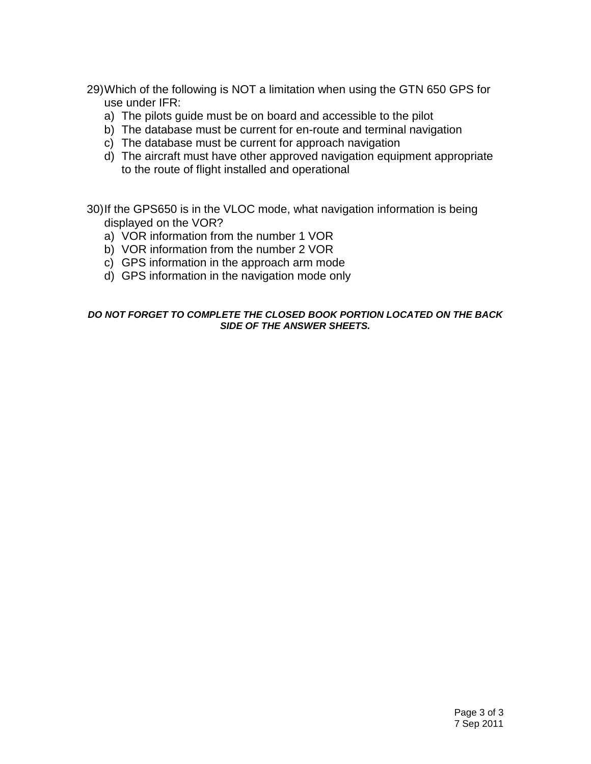- 29)Which of the following is NOT a limitation when using the GTN 650 GPS for use under IFR:
	- a) The pilots guide must be on board and accessible to the pilot
	- b) The database must be current for en-route and terminal navigation
	- c) The database must be current for approach navigation
	- d) The aircraft must have other approved navigation equipment appropriate to the route of flight installed and operational

30)If the GPS650 is in the VLOC mode, what navigation information is being displayed on the VOR?

- a) VOR information from the number 1 VOR
- b) VOR information from the number 2 VOR
- c) GPS information in the approach arm mode
- d) GPS information in the navigation mode only

#### *DO NOT FORGET TO COMPLETE THE CLOSED BOOK PORTION LOCATED ON THE BACK SIDE OF THE ANSWER SHEETS.*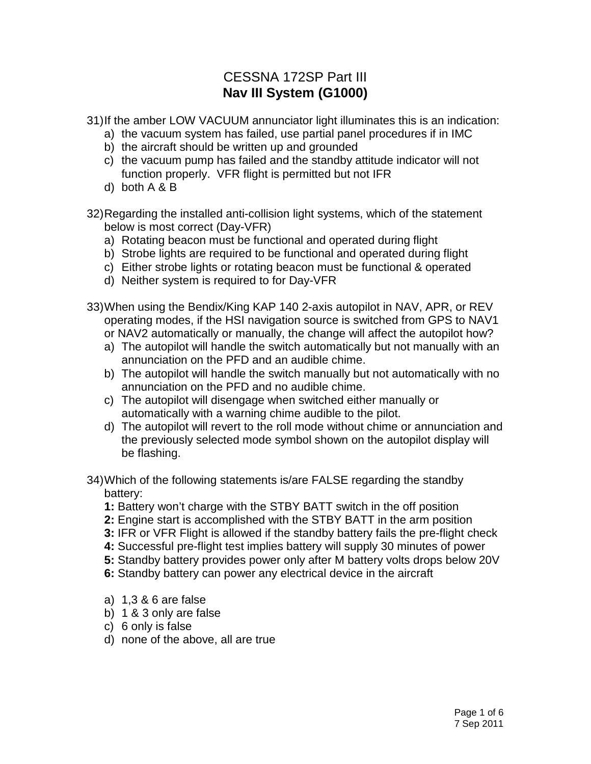# CESSNA 172SP Part III **Nav III System (G1000)**

31)If the amber LOW VACUUM annunciator light illuminates this is an indication:

- a) the vacuum system has failed, use partial panel procedures if in IMC
- b) the aircraft should be written up and grounded
- c) the vacuum pump has failed and the standby attitude indicator will not function properly. VFR flight is permitted but not IFR
- d) both A & B
- 32)Regarding the installed anti-collision light systems, which of the statement below is most correct (Day-VFR)
	- a) Rotating beacon must be functional and operated during flight
	- b) Strobe lights are required to be functional and operated during flight
	- c) Either strobe lights or rotating beacon must be functional & operated
	- d) Neither system is required to for Day-VFR
- 33)When using the Bendix/King KAP 140 2-axis autopilot in NAV, APR, or REV operating modes, if the HSI navigation source is switched from GPS to NAV1
	- or NAV2 automatically or manually, the change will affect the autopilot how?
	- a) The autopilot will handle the switch automatically but not manually with an annunciation on the PFD and an audible chime.
	- b) The autopilot will handle the switch manually but not automatically with no annunciation on the PFD and no audible chime.
	- c) The autopilot will disengage when switched either manually or automatically with a warning chime audible to the pilot.
	- d) The autopilot will revert to the roll mode without chime or annunciation and the previously selected mode symbol shown on the autopilot display will be flashing.
- 34)Which of the following statements is/are FALSE regarding the standby battery:
	- **1:** Battery won't charge with the STBY BATT switch in the off position
	- **2:** Engine start is accomplished with the STBY BATT in the arm position
	- **3:** IFR or VFR Flight is allowed if the standby battery fails the pre-flight check
	- **4:** Successful pre-flight test implies battery will supply 30 minutes of power
	- **5:** Standby battery provides power only after M battery volts drops below 20V
	- **6:** Standby battery can power any electrical device in the aircraft
	- a) 1,3 & 6 are false
	- b) 1 & 3 only are false
	- c) 6 only is false
	- d) none of the above, all are true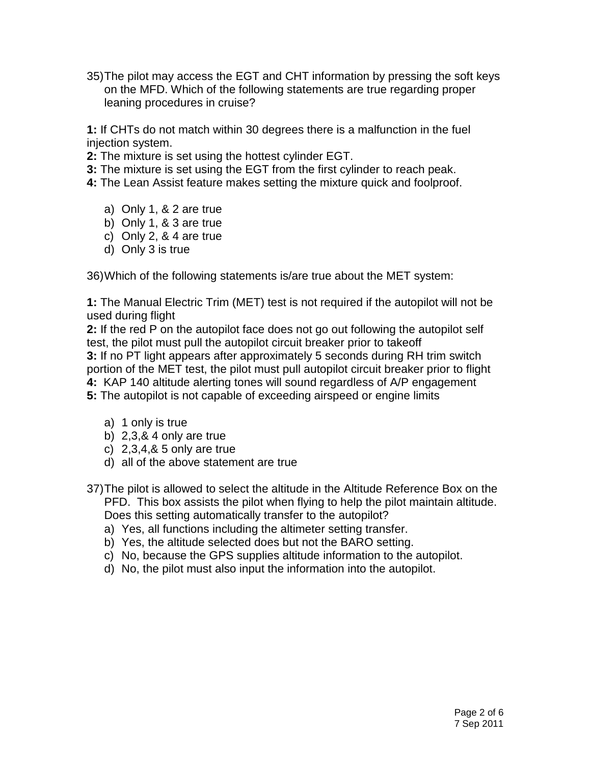35)The pilot may access the EGT and CHT information by pressing the soft keys on the MFD. Which of the following statements are true regarding proper leaning procedures in cruise?

**1:** If CHTs do not match within 30 degrees there is a malfunction in the fuel injection system.

- **2:** The mixture is set using the hottest cylinder EGT.
- **3:** The mixture is set using the EGT from the first cylinder to reach peak.
- **4:** The Lean Assist feature makes setting the mixture quick and foolproof.
	- a) Only 1, & 2 are true
	- b) Only 1, & 3 are true
	- c) Only 2, & 4 are true
	- d) Only 3 is true

36)Which of the following statements is/are true about the MET system:

**1:** The Manual Electric Trim (MET) test is not required if the autopilot will not be used during flight

**2:** If the red P on the autopilot face does not go out following the autopilot self test, the pilot must pull the autopilot circuit breaker prior to takeoff

**3:** If no PT light appears after approximately 5 seconds during RH trim switch portion of the MET test, the pilot must pull autopilot circuit breaker prior to flight

- **4:** KAP 140 altitude alerting tones will sound regardless of A/P engagement
- **5:** The autopilot is not capable of exceeding airspeed or engine limits
	- a) 1 only is true
	- b) 2,3,& 4 only are true
	- c) 2,3,4,& 5 only are true
	- d) all of the above statement are true
- 37)The pilot is allowed to select the altitude in the Altitude Reference Box on the PFD. This box assists the pilot when flying to help the pilot maintain altitude. Does this setting automatically transfer to the autopilot?
	- a) Yes, all functions including the altimeter setting transfer.
	- b) Yes, the altitude selected does but not the BARO setting.
	- c) No, because the GPS supplies altitude information to the autopilot.
	- d) No, the pilot must also input the information into the autopilot.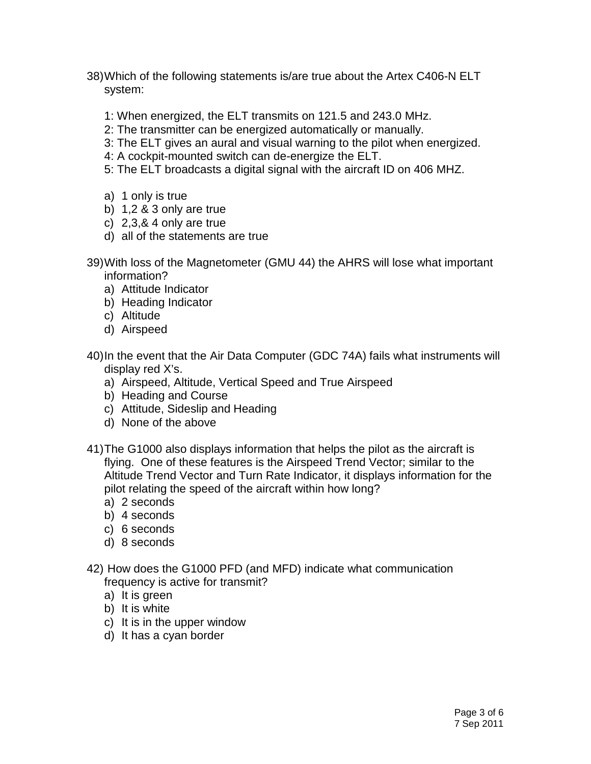- 38)Which of the following statements is/are true about the Artex C406-N ELT system:
	- 1: When energized, the ELT transmits on 121.5 and 243.0 MHz.
	- 2: The transmitter can be energized automatically or manually.
	- 3: The ELT gives an aural and visual warning to the pilot when energized.
	- 4: A cockpit-mounted switch can de-energize the ELT.
	- 5: The ELT broadcasts a digital signal with the aircraft ID on 406 MHZ.
	- a) 1 only is true
	- b) 1,2 & 3 only are true
	- c) 2,3,& 4 only are true
	- d) all of the statements are true
- 39)With loss of the Magnetometer (GMU 44) the AHRS will lose what important information?
	- a) Attitude Indicator
	- b) Heading Indicator
	- c) Altitude
	- d) Airspeed
- 40)In the event that the Air Data Computer (GDC 74A) fails what instruments will display red X's.
	- a) Airspeed, Altitude, Vertical Speed and True Airspeed
	- b) Heading and Course
	- c) Attitude, Sideslip and Heading
	- d) None of the above
- 41)The G1000 also displays information that helps the pilot as the aircraft is flying. One of these features is the Airspeed Trend Vector; similar to the Altitude Trend Vector and Turn Rate Indicator, it displays information for the pilot relating the speed of the aircraft within how long?
	- a) 2 seconds
	- b) 4 seconds
	- c) 6 seconds
	- d) 8 seconds
- 42) How does the G1000 PFD (and MFD) indicate what communication frequency is active for transmit?
	- a) It is green
	- b) It is white
	- c) It is in the upper window
	- d) It has a cyan border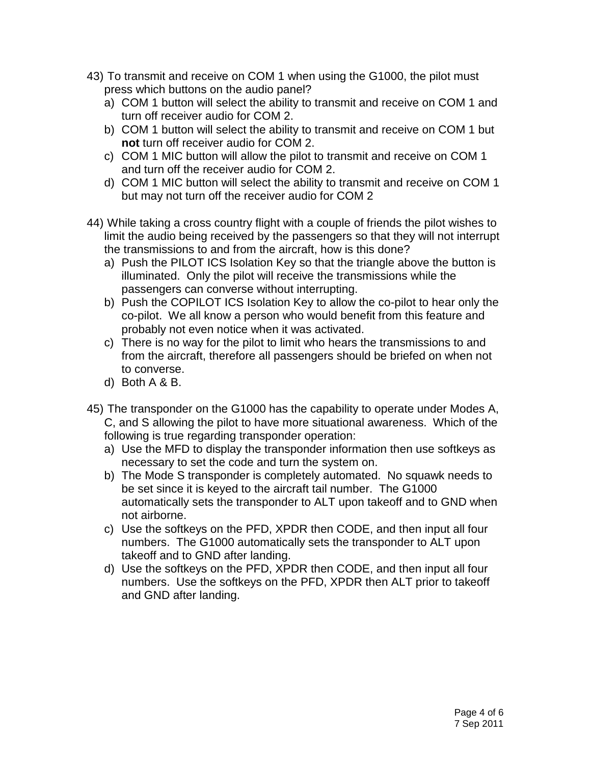- 43) To transmit and receive on COM 1 when using the G1000, the pilot must press which buttons on the audio panel?
	- a) COM 1 button will select the ability to transmit and receive on COM 1 and turn off receiver audio for COM 2.
	- b) COM 1 button will select the ability to transmit and receive on COM 1 but **not** turn off receiver audio for COM 2.
	- c) COM 1 MIC button will allow the pilot to transmit and receive on COM 1 and turn off the receiver audio for COM 2.
	- d) COM 1 MIC button will select the ability to transmit and receive on COM 1 but may not turn off the receiver audio for COM 2
- 44) While taking a cross country flight with a couple of friends the pilot wishes to limit the audio being received by the passengers so that they will not interrupt the transmissions to and from the aircraft, how is this done?
	- a) Push the PILOT ICS Isolation Key so that the triangle above the button is illuminated. Only the pilot will receive the transmissions while the passengers can converse without interrupting.
	- b) Push the COPILOT ICS Isolation Key to allow the co-pilot to hear only the co-pilot. We all know a person who would benefit from this feature and probably not even notice when it was activated.
	- c) There is no way for the pilot to limit who hears the transmissions to and from the aircraft, therefore all passengers should be briefed on when not to converse.
	- d) Both A & B.
- 45) The transponder on the G1000 has the capability to operate under Modes A, C, and S allowing the pilot to have more situational awareness. Which of the following is true regarding transponder operation:
	- a) Use the MFD to display the transponder information then use softkeys as necessary to set the code and turn the system on.
	- b) The Mode S transponder is completely automated. No squawk needs to be set since it is keyed to the aircraft tail number. The G1000 automatically sets the transponder to ALT upon takeoff and to GND when not airborne.
	- c) Use the softkeys on the PFD, XPDR then CODE, and then input all four numbers. The G1000 automatically sets the transponder to ALT upon takeoff and to GND after landing.
	- d) Use the softkeys on the PFD, XPDR then CODE, and then input all four numbers. Use the softkeys on the PFD, XPDR then ALT prior to takeoff and GND after landing.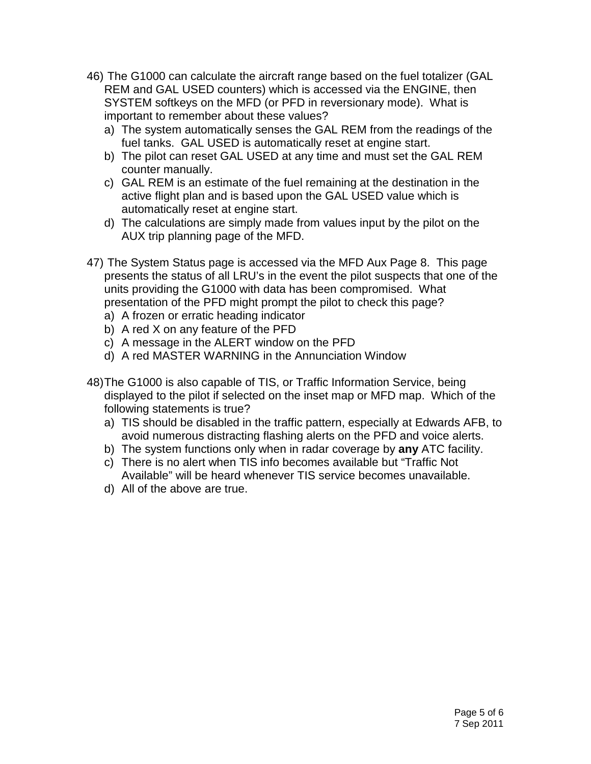- 46) The G1000 can calculate the aircraft range based on the fuel totalizer (GAL REM and GAL USED counters) which is accessed via the ENGINE, then SYSTEM softkeys on the MFD (or PFD in reversionary mode). What is important to remember about these values?
	- a) The system automatically senses the GAL REM from the readings of the fuel tanks. GAL USED is automatically reset at engine start.
	- b) The pilot can reset GAL USED at any time and must set the GAL REM counter manually.
	- c) GAL REM is an estimate of the fuel remaining at the destination in the active flight plan and is based upon the GAL USED value which is automatically reset at engine start.
	- d) The calculations are simply made from values input by the pilot on the AUX trip planning page of the MFD.
- 47) The System Status page is accessed via the MFD Aux Page 8. This page presents the status of all LRU's in the event the pilot suspects that one of the units providing the G1000 with data has been compromised. What presentation of the PFD might prompt the pilot to check this page?
	- a) A frozen or erratic heading indicator
	- b) A red X on any feature of the PFD
	- c) A message in the ALERT window on the PFD
	- d) A red MASTER WARNING in the Annunciation Window
- 48)The G1000 is also capable of TIS, or Traffic Information Service, being displayed to the pilot if selected on the inset map or MFD map. Which of the following statements is true?
	- a) TIS should be disabled in the traffic pattern, especially at Edwards AFB, to avoid numerous distracting flashing alerts on the PFD and voice alerts.
	- b) The system functions only when in radar coverage by **any** ATC facility.
	- c) There is no alert when TIS info becomes available but "Traffic Not Available" will be heard whenever TIS service becomes unavailable.
	- d) All of the above are true.